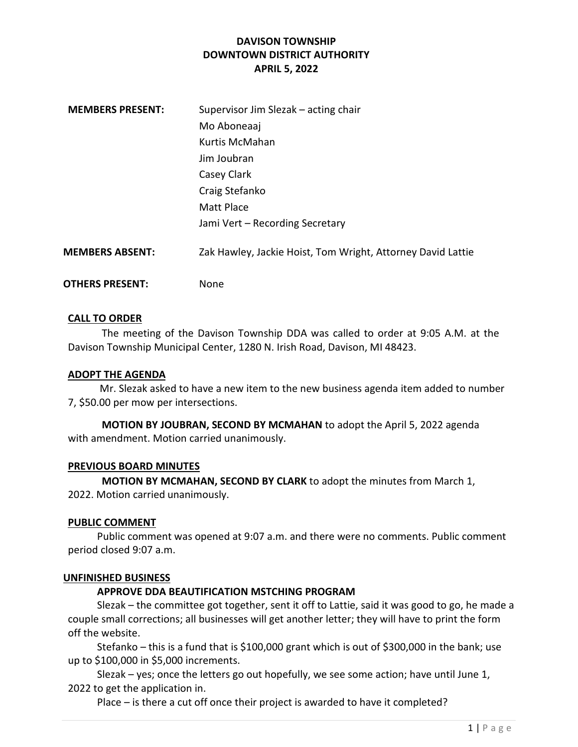# DAVISON TOWNSHIP DOWNTOWN DISTRICT AUTHORITY APRIL 5, 2022

| <b>MEMBERS PRESENT:</b> | Supervisor Jim Slezak – acting chair                        |
|-------------------------|-------------------------------------------------------------|
|                         | Mo Aboneaaj                                                 |
|                         | Kurtis McMahan                                              |
|                         | Jim Joubran                                                 |
|                         | Casey Clark                                                 |
|                         | Craig Stefanko                                              |
|                         | Matt Place                                                  |
|                         | Jami Vert - Recording Secretary                             |
| <b>MEMBERS ABSENT:</b>  | Zak Hawley, Jackie Hoist, Tom Wright, Attorney David Lattie |
| <b>OTHERS PRESENT:</b>  | None                                                        |

### CALL TO ORDER

The meeting of the Davison Township DDA was called to order at 9:05 A.M. at the Davison Township Municipal Center, 1280 N. Irish Road, Davison, MI 48423.

#### ADOPT THE AGENDA

 Mr. Slezak asked to have a new item to the new business agenda item added to number 7, \$50.00 per mow per intersections.

MOTION BY JOUBRAN, SECOND BY MCMAHAN to adopt the April 5, 2022 agenda with amendment. Motion carried unanimously.

#### PREVIOUS BOARD MINUTES

MOTION BY MCMAHAN, SECOND BY CLARK to adopt the minutes from March 1, 2022. Motion carried unanimously.

#### PUBLIC COMMENT

 Public comment was opened at 9:07 a.m. and there were no comments. Public comment period closed 9:07 a.m.

#### UNFINISHED BUSINESS

# APPROVE DDA BEAUTIFICATION MSTCHING PROGRAM

 Slezak – the committee got together, sent it off to Lattie, said it was good to go, he made a couple small corrections; all businesses will get another letter; they will have to print the form off the website.

 Stefanko – this is a fund that is \$100,000 grant which is out of \$300,000 in the bank; use up to \$100,000 in \$5,000 increments.

 Slezak – yes; once the letters go out hopefully, we see some action; have until June 1, 2022 to get the application in.

Place – is there a cut off once their project is awarded to have it completed?